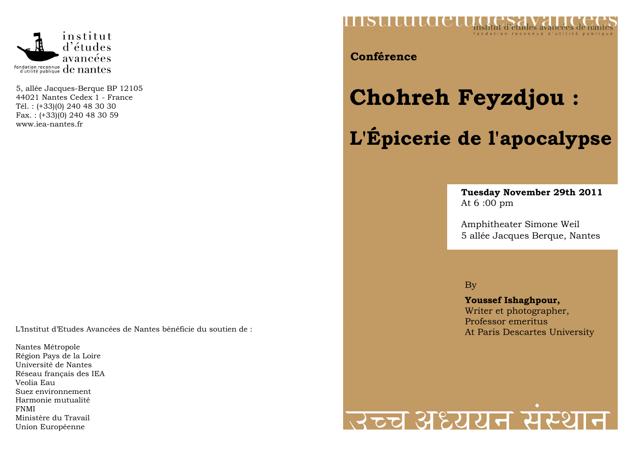

5, allée Jacques-Berque BP 12105 44021 Nantes Cedex 1 - France Tél. : (+33)(0) 240 48 30 30 Fax. : (+33)(0) 240 48 30 59 www.iea-nantes.fr

L'Institut d'Etudes Avancées de Nantes bénéficie du soutien de :

Nantes Métropole Région Pays de la Loire Université de Nantes Réseau français des IEA Veolia Eau Suez environnement Harmonie mutualité FNMI Ministère du Travail Union Européenne



**Conférence** 

# **Chohreh Feyzdjou : L'Épicerie de l'apocalypse**

#### **Tuesday November 29th 2011** At 6 :00 pm

Amphitheater Simone Weil 5 allée Jacques Berque, Nantes

By

**Youssef Ishaghpour,**  Writer et photographer, Professor emeritus At Paris Descartes University

## स्टच अध्ययन सर